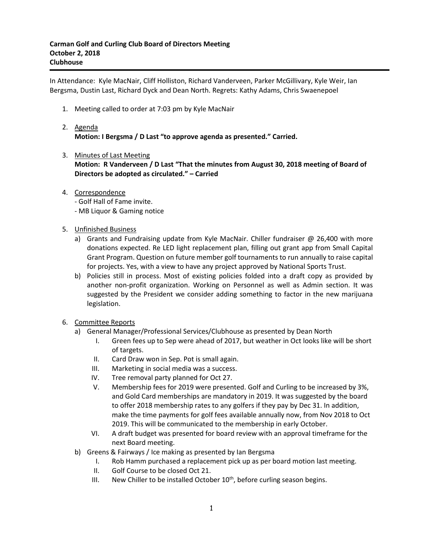In Attendance: Kyle MacNair, Cliff Holliston, Richard Vanderveen, Parker McGillivary, Kyle Weir, Ian Bergsma, Dustin Last, Richard Dyck and Dean North. Regrets: Kathy Adams, Chris Swaenepoel

- 1. Meeting called to order at 7:03 pm by Kyle MacNair
- 2. Agenda **Motion: I Bergsma / D Last "to approve agenda as presented." Carried.**
- 3. Minutes of Last Meeting **Motion: R Vanderveen / D Last "That the minutes from August 30, 2018 meeting of Board of Directors be adopted as circulated." – Carried**
- 4. Correspondence
	- Golf Hall of Fame invite.
	- MB Liquor & Gaming notice
- 5. Unfinished Business
	- a) Grants and Fundraising update from Kyle MacNair. Chiller fundraiser @ 26,400 with more donations expected. Re LED light replacement plan, filling out grant app from Small Capital Grant Program. Question on future member golf tournaments to run annually to raise capital for projects. Yes, with a view to have any project approved by National Sports Trust.
	- b) Policies still in process. Most of existing policies folded into a draft copy as provided by another non-profit organization. Working on Personnel as well as Admin section. It was suggested by the President we consider adding something to factor in the new marijuana legislation.
- 6. Committee Reports
	- a) General Manager/Professional Services/Clubhouse as presented by Dean North
		- I. Green fees up to Sep were ahead of 2017, but weather in Oct looks like will be short of targets.
		- II. Card Draw won in Sep. Pot is small again.
		- III. Marketing in social media was a success.
		- IV. Tree removal party planned for Oct 27.
		- V. Membership fees for 2019 were presented. Golf and Curling to be increased by 3%, and Gold Card memberships are mandatory in 2019. It was suggested by the board to offer 2018 membership rates to any golfers if they pay by Dec 31. In addition, make the time payments for golf fees available annually now, from Nov 2018 to Oct 2019. This will be communicated to the membership in early October.
		- VI. A draft budget was presented for board review with an approval timeframe for the next Board meeting.
	- b) Greens & Fairways / Ice making as presented by Ian Bergsma
		- I. Rob Hamm purchased a replacement pick up as per board motion last meeting.
		- II. Golf Course to be closed Oct 21.
		- III. New Chiller to be installed October 10<sup>th</sup>, before curling season begins.